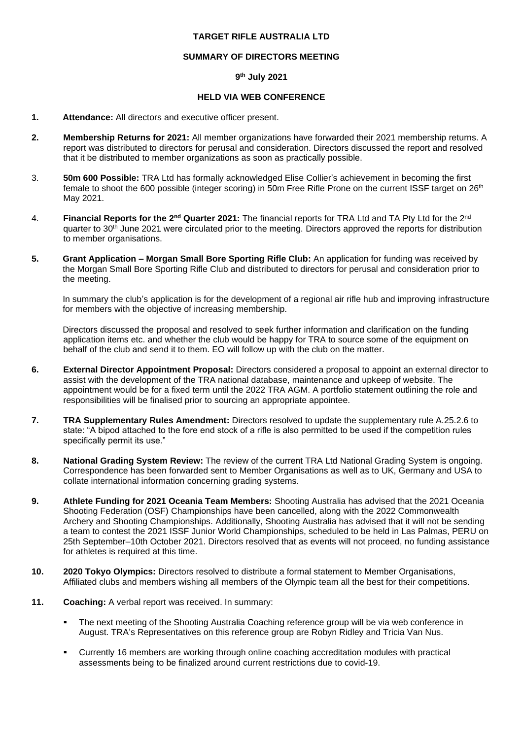## **TARGET RIFLE AUSTRALIA LTD**

## **SUMMARY OF DIRECTORS MEETING**

## **9 th July 2021**

## **HELD VIA WEB CONFERENCE**

- **1. Attendance:** All directors and executive officer present.
- **2. Membership Returns for 2021:** All member organizations have forwarded their 2021 membership returns. A report was distributed to directors for perusal and consideration. Directors discussed the report and resolved that it be distributed to member organizations as soon as practically possible.
- 3. **50m 600 Possible:** TRA Ltd has formally acknowledged Elise Collier's achievement in becoming the first female to shoot the 600 possible (integer scoring) in 50m Free Rifle Prone on the current ISSF target on 26<sup>th</sup> May 2021.
- 4. **Financial Reports for the 2nd Quarter 2021:** The financial reports for TRA Ltd and TA Pty Ltd for the 2nd quarter to 30<sup>th</sup> June 2021 were circulated prior to the meeting. Directors approved the reports for distribution to member organisations.
- **5. Grant Application – Morgan Small Bore Sporting Rifle Club:** An application for funding was received by the Morgan Small Bore Sporting Rifle Club and distributed to directors for perusal and consideration prior to the meeting.

In summary the club's application is for the development of a regional air rifle hub and improving infrastructure for members with the objective of increasing membership.

Directors discussed the proposal and resolved to seek further information and clarification on the funding application items etc. and whether the club would be happy for TRA to source some of the equipment on behalf of the club and send it to them. EO will follow up with the club on the matter.

- **6. External Director Appointment Proposal:** Directors considered a proposal to appoint an external director to assist with the development of the TRA national database, maintenance and upkeep of website. The appointment would be for a fixed term until the 2022 TRA AGM. A portfolio statement outlining the role and responsibilities will be finalised prior to sourcing an appropriate appointee.
- **7. TRA Supplementary Rules Amendment:** Directors resolved to update the supplementary rule A.25.2.6 to state: "A bipod attached to the fore end stock of a rifle is also permitted to be used if the competition rules specifically permit its use."
- **8. National Grading System Review:** The review of the current TRA Ltd National Grading System is ongoing. Correspondence has been forwarded sent to Member Organisations as well as to UK, Germany and USA to collate international information concerning grading systems.
- **9. Athlete Funding for 2021 Oceania Team Members:** Shooting Australia has advised that the 2021 Oceania Shooting Federation (OSF) Championships have been cancelled, along with the 2022 Commonwealth Archery and Shooting Championships. Additionally, Shooting Australia has advised that it will not be sending a team to contest the 2021 ISSF Junior World Championships, scheduled to be held in Las Palmas, PERU on 25th September–10th October 2021. Directors resolved that as events will not proceed, no funding assistance for athletes is required at this time.
- **10. 2020 Tokyo Olympics:** Directors resolved to distribute a formal statement to Member Organisations, Affiliated clubs and members wishing all members of the Olympic team all the best for their competitions.
- **11. Coaching:** A verbal report was received. In summary:
	- The next meeting of the Shooting Australia Coaching reference group will be via web conference in August. TRA's Representatives on this reference group are Robyn Ridley and Tricia Van Nus.
	- Currently 16 members are working through online coaching accreditation modules with practical assessments being to be finalized around current restrictions due to covid-19.